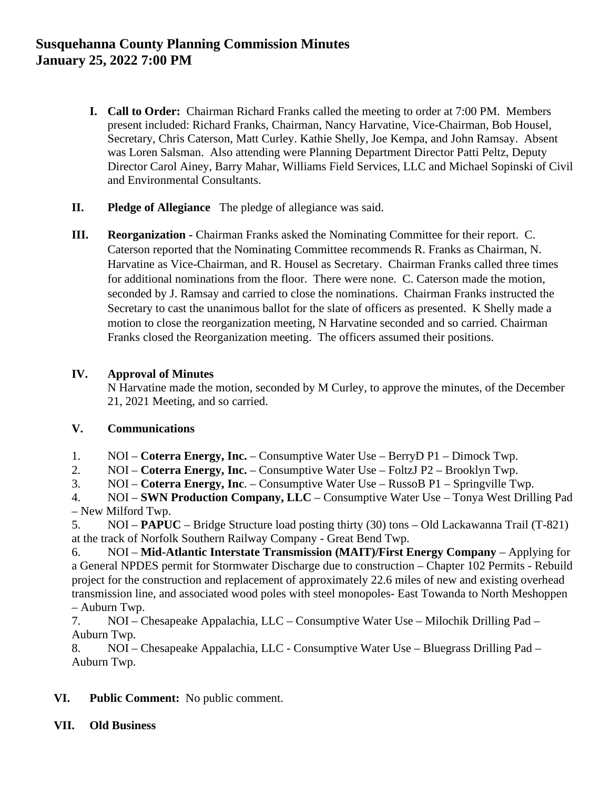# **Susquehanna County Planning Commission Minutes January 25, 2022 7:00 PM**

- **I. Call to Order:** Chairman Richard Franks called the meeting to order at 7:00 PM. Members present included: Richard Franks, Chairman, Nancy Harvatine, Vice-Chairman, Bob Housel, Secretary, Chris Caterson, Matt Curley. Kathie Shelly, Joe Kempa, and John Ramsay. Absent was Loren Salsman. Also attending were Planning Department Director Patti Peltz, Deputy Director Carol Ainey, Barry Mahar, Williams Field Services, LLC and Michael Sopinski of Civil and Environmental Consultants.
- **II. Pledge of Allegiance** The pledge of allegiance was said.
- **III. Reorganization -** Chairman Franks asked the Nominating Committee for their report. C. Caterson reported that the Nominating Committee recommends R. Franks as Chairman, N. Harvatine as Vice-Chairman, and R. Housel as Secretary. Chairman Franks called three times for additional nominations from the floor. There were none. C. Caterson made the motion, seconded by J. Ramsay and carried to close the nominations. Chairman Franks instructed the Secretary to cast the unanimous ballot for the slate of officers as presented. K Shelly made a motion to close the reorganization meeting, N Harvatine seconded and so carried. Chairman Franks closed the Reorganization meeting. The officers assumed their positions.

## **IV. Approval of Minutes**

N Harvatine made the motion, seconded by M Curley, to approve the minutes, of the December 21, 2021 Meeting, and so carried.

## **V. Communications**

- 1. NOI **Coterra Energy, Inc.** Consumptive Water Use BerryD P1 Dimock Twp.
- 2. NOI **Coterra Energy, Inc.** Consumptive Water Use FoltzJ P2 Brooklyn Twp.
- 3. NOI **Coterra Energy, Inc**. Consumptive Water Use RussoB P1 Springville Twp.
- 4. NOI **SWN Production Company, LLC** Consumptive Water Use Tonya West Drilling Pad – New Milford Twp.

5. NOI – **PAPUC** – Bridge Structure load posting thirty (30) tons – Old Lackawanna Trail (T-821) at the track of Norfolk Southern Railway Company - Great Bend Twp.

6. NOI – **Mid-Atlantic Interstate Transmission (MAIT)/First Energy Company** – Applying for a General NPDES permit for Stormwater Discharge due to construction – Chapter 102 Permits - Rebuild project for the construction and replacement of approximately 22.6 miles of new and existing overhead transmission line, and associated wood poles with steel monopoles- East Towanda to North Meshoppen – Auburn Twp.

7. NOI – Chesapeake Appalachia, LLC – Consumptive Water Use – Milochik Drilling Pad – Auburn Twp.

8. NOI – Chesapeake Appalachia, LLC - Consumptive Water Use – Bluegrass Drilling Pad – Auburn Twp.

- **VI. Public Comment:** No public comment.
- **VII. Old Business**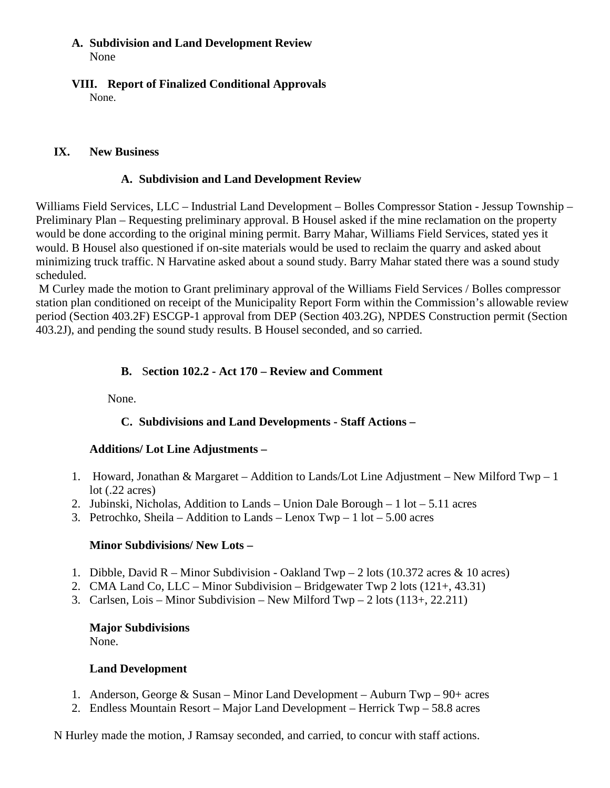#### **A. Subdivision and Land Development Review** None

**VIII. Report of Finalized Conditional Approvals**  None.

#### **IX. New Business**

#### **A. Subdivision and Land Development Review**

Williams Field Services, LLC – Industrial Land Development – Bolles Compressor Station - Jessup Township – Preliminary Plan – Requesting preliminary approval. B Housel asked if the mine reclamation on the property would be done according to the original mining permit. Barry Mahar, Williams Field Services, stated yes it would. B Housel also questioned if on-site materials would be used to reclaim the quarry and asked about minimizing truck traffic. N Harvatine asked about a sound study. Barry Mahar stated there was a sound study scheduled.

M Curley made the motion to Grant preliminary approval of the Williams Field Services / Bolles compressor station plan conditioned on receipt of the Municipality Report Form within the Commission's allowable review period (Section 403.2F) ESCGP-1 approval from DEP (Section 403.2G), NPDES Construction permit (Section 403.2J), and pending the sound study results. B Housel seconded, and so carried.

## **B.** S**ection 102.2 - Act 170 – Review and Comment**

None.

## **C. Subdivisions and Land Developments - Staff Actions –**

## **Additions/ Lot Line Adjustments –**

- 1. Howard, Jonathan & Margaret Addition to Lands/Lot Line Adjustment New Milford Twp 1 lot (.22 acres)
- 2. Jubinski, Nicholas, Addition to Lands Union Dale Borough 1 lot 5.11 acres
- 3. Petrochko, Sheila Addition to Lands Lenox  $Twp 1$  lot 5.00 acres

#### **Minor Subdivisions/ New Lots –**

- 1. Dibble, David R Minor Subdivision Oakland  $Twp 2$  lots (10.372 acres & 10 acres)
- 2. CMA Land Co, LLC Minor Subdivision Bridgewater Twp 2 lots (121+, 43.31)
- 3. Carlsen, Lois Minor Subdivision New Milford Twp 2 lots (113+, 22.211)

#### **Major Subdivisions**

None.

## **Land Development**

- 1. Anderson, George & Susan Minor Land Development Auburn Twp 90+ acres
- 2. Endless Mountain Resort Major Land Development Herrick Twp 58.8 acres

N Hurley made the motion, J Ramsay seconded, and carried, to concur with staff actions.